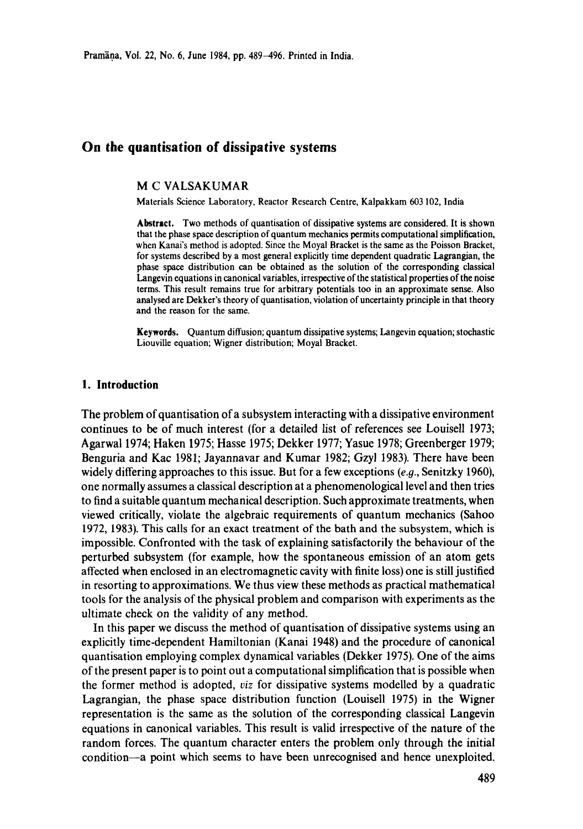# **On the quantisation of dissipative systems**

# **M C** VALSAKUMAR

Materials Science. Laboratory, Reactor Research Centre, Kalpakkam 603 102, India

**Abstract.** Two methods of quantisation of dissipative systems are considered. It is shown that the phase space description of quantum mechanics permits computational simplification, when Kanai's method is adopted. Since the Moyal Bracket is the same as the Poisson Bracket, for systems described by a most general explicitly time dependent quadratic Lagrangian, the phase space distribution can be obtained as the solution of the corresponding **classical**  Langevin equations in canonical variables, irrespective of the statistical properties of the noise terms. This result remains true for arbitrary potentials too in an approximate sense. Also analysed are Dekker's theory of quantisation, violation of uncertainty principle in that theory and the reason for the same.

**Keywords.** Quantum diffusion; quantum dissipative systems; Langevin equation; stochastic Liouville equation; Wigner distribution; Moyal Bracket.

#### **1. Introduction**

The problem of quantisation of a subsystem interacting with a dissipative environment continues to be of much interest (for a detailed list of references see Louisell 1973; Agarwal 1974; Haken 1975; Hasse 1975; Dekker 1977; Yasue 1978; Greenberger 1979; Benguria and Kac 1981; Jayannavar and Kumar 1982; Gzyl 1983). There have been widely differing approaches to this issue. But for a few exceptions *(e.g.,* Senitzky 1960), one normally assumes a classical description at a phenomenological level and then tries to find a suitable quantum mechanical description. Such approximate treatments, when viewed critically, violate the algebraic requirements of quantum mechanics (Sahoo 1972, 1983). This calls for an exact treatment of the bath and the subsystem, which is impossible. Confronted with the task of explaining satisfactorily the behaviour of the perturbed subsystem (for example, how the spontaneous emission of an atom gets affected when enclosed in an electromagnetic cavity with finite loss) one is still justified in resorting to approximations. We thus view these methods as practical mathematical tools for the analysis of the physical problem and comparison with experiments as the ultimate check on the validity of any method.

In this paper we discuss the method of quantisation of dissipative systems using an explicitly time-dependent Hamiltonian (Kanai 1948) and the procedure of canonical quantisation employing complex dynamical variables (Dekker 1975). One of the aims of the present paper is to point out a computational simplification that is possible when the former method is adopted, *viz* for dissipative systems modelled by a quadratic Lagrangian, the phase space distribution function (Louisell 1975) in the Wigner representation is the same as the solution of the corresponding classical Langevin equations in canonical variables. This result is valid irrespective of the nature of the random forces. The quantum character enters the problem only through the initial condition--a point which seems to have been unrecognised and hence unexploited.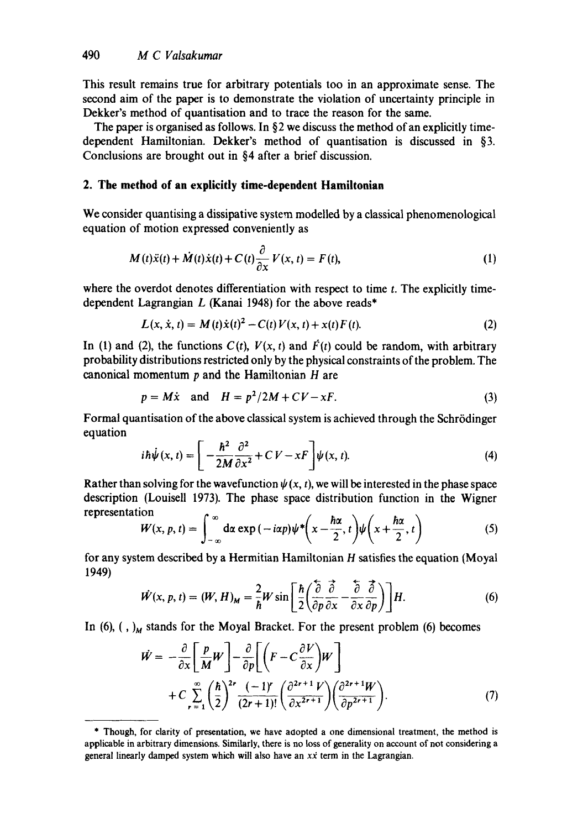This result remains true for arbitrary potentials too in an approximate sense. The second aim of the paper is to demonstrate the violation of uncertainty principle in Dekker's method of quantisation and to trace the reason for the same.

The paper is organised as follows. In §2 we discuss the method of an explicitly timedependent Hamiltonian. Dekker's method of quantisation is discussed in §3. Conclusions are brought out in §4 after a brief discussion.

#### **2. The method of an explicitly time-dependent Hamiltonian**

We consider quantising a dissipative system modelled by a classical phenomenological equation of motion expressed conveniently as

$$
M(t)\ddot{x}(t) + \dot{M}(t)\dot{x}(t) + C(t)\frac{\partial}{\partial x}V(x, t) = F(t),
$$
\n(1)

where the overdot denotes differentiation with respect to time  $t$ . The explicitly timedependent Lagrangian  $L$  (Kanai 1948) for the above reads\*

$$
L(x, \dot{x}, t) = M(t)\dot{x}(t)^{2} - C(t)V(x, t) + x(t)F(t).
$$
\n(2)

In (1) and (2), the functions  $C(t)$ ,  $V(x, t)$  and  $\vec{F}(t)$  could be random, with arbitrary probability distributions restricted only by the physical constraints of the problem. The canonical momentum  $p$  and the Hamiltonian  $H$  are

$$
p = M\dot{x} \quad \text{and} \quad H = p^2/2M + CV - xF. \tag{3}
$$

Formal quantisation of the above classical system is achieved through the Schrödinger equation

$$
i\hbar\dot{\psi}(x,t) = \left[ -\frac{\hbar^2}{2M} \frac{\partial^2}{\partial x^2} + C V - xF \right] \psi(x,t). \tag{4}
$$

Rather than solving for the wavefunction  $\psi(x, t)$ , we will be interested in the phase space description (Louisell 1973). The phase space distribution function in the Wigner representation

$$
W(x, p, t) = \int_{-\infty}^{\infty} d\alpha \exp(-i\alpha p) \psi^* \left(x - \frac{\hbar \alpha}{2}, t\right) \psi\left(x + \frac{\hbar \alpha}{2}, t\right)
$$
(5)

for any system described by a Hermitian Hamiltonian H satisfies the equation (Moyal 1949)  $\sim$   $\sim$ 

$$
\dot{W}(x, p, t) = (W, H)_M = \frac{2}{\hbar} W \sin \left[ \frac{\hbar}{2} \left( \frac{\partial}{\partial p} \frac{\partial}{\partial x} - \frac{\partial}{\partial x} \frac{\partial}{\partial p} \right) \right] H. \tag{6}
$$

In (6),  $(N)$ <sub>M</sub> stands for the Moyal Bracket. For the present problem (6) becomes

$$
\dot{W} = -\frac{\partial}{\partial x} \left[ \frac{p}{M} W \right] - \frac{\partial}{\partial p} \left[ \left( F - C \frac{\partial V}{\partial x} \right) W \right] \n+ C \sum_{r=1}^{\infty} \left( \frac{\hbar}{2} \right)^{2r} \frac{(-1)^r}{(2r+1)!} \left( \frac{\partial^{2r+1} V}{\partial x^{2r+1}} \right) \left( \frac{\partial^{2r+1} W}{\partial p^{2r+1}} \right).
$$
\n(7)

<sup>\*</sup> Though, for clarity of presentation, we have aaopted a one dimensional treatment, the method is applicable in arbitrary dimensions. Similarly, there is no loss of generality on account of not considering a general linearly damped system which will also have an  $x\dot{x}$  term in the Lagrangian.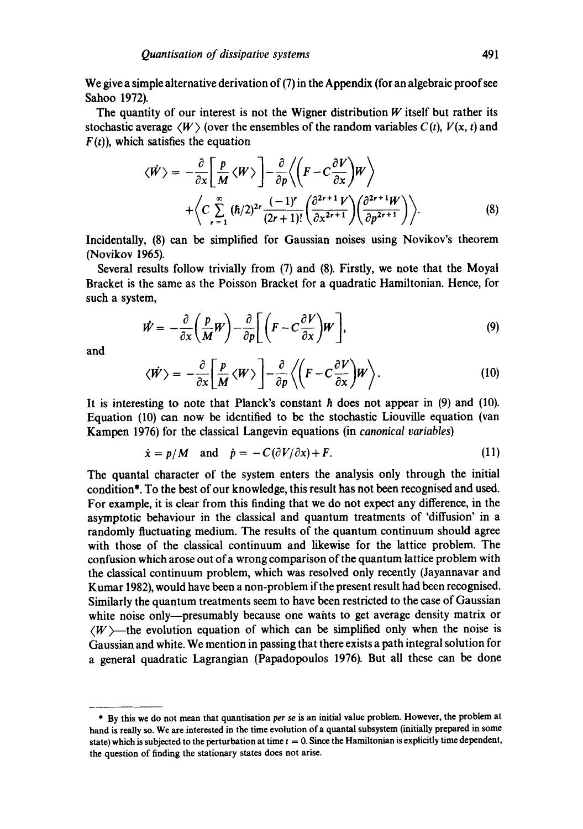We give a simple alternative derivation of (7) in the Appendix (for an algebraic proof see Sahoo 1972).

The quantity of our interest is not the Wigner distribution  $W$  itself but rather its stochastic average  $\langle W \rangle$  (over the ensembles of the random variables  $C(t)$ ,  $V(x, t)$  and  $F(t)$ , which satisfies the equation

$$
\langle \dot{W} \rangle = -\frac{\partial}{\partial x} \left[ \frac{p}{M} \langle W \rangle \right] - \frac{\partial}{\partial p} \langle \left( F - C \frac{\partial V}{\partial x} \right) W \rangle + \langle C \sum_{r=1}^{\infty} (\hbar/2)^{2r} \frac{(-1)^r}{(2r+1)!} \left( \frac{\partial^{2r+1} V}{\partial x^{2r+1}} \right) \left( \frac{\partial^{2r+1} W}{\partial p^{2r+1}} \right) \rangle.
$$
 (8)

Incidentally, (8) can be simplified for Gaussian noises using Novikov's theorem (Novikov 1965).

Several results follow trivially from (7) and (8). Firstly, we note that the Moyal Bracket is the same as the Poisson Bracket for a quadratic Hamiltonian. Hence, for such a system,

$$
\dot{W} = -\frac{\partial}{\partial x} \left( \frac{p}{M} W \right) - \frac{\partial}{\partial p} \left[ \left( F - C \frac{\partial V}{\partial x} \right) W \right],
$$
\n(9)

and

$$
\langle \dot{W} \rangle = -\frac{\partial}{\partial x} \left[ \frac{p}{M} \langle W \rangle \right] - \frac{\partial}{\partial p} \left\langle \left( F - C \frac{\partial V}{\partial x} \right) W \right\rangle. \tag{10}
$$

It is interesting to note that Planck's constant  $\hbar$  does not appear in (9) and (10). Equation (10) can now be identified to be the stochastic Liouville equation (van Kampen 1976) for the classical Langevin equations (in *canonical variables)* 

$$
\dot{\mathbf{x}} = p/M \quad \text{and} \quad \dot{p} = -C(\partial V/\partial x) + F. \tag{11}
$$

The quantal character of the system enters the analysis only through the initial condition\*. To the best of our knowledge, this result has not been recognised and used. For example, it is clear from this finding that we do not expect any difference, in the asymptotic behaviour in the classical and quantum treatments of 'diffusion' in a randomly fluctuating medium. The results of the quantum continuum should agree with those of the classical continuum and likewise for the lattice problem. The confusion which arose out of a wrong comparison of the quantum lattice problem with the classical continuum problem, which was resolved only recently (Jayannavar and Kumar 1982), would have been a non-problem if the present result had been recognised. Similarly the quantum treatments seem to have been restricted to the case of Gaussian white noise only—presumably because one wants to get average density matrix or  $\langle W \rangle$ —the evolution equation of which can be simplified only when the noise is Gaussian and white. We mention in passing that there exists a path integral solution for a general quadratic Lagrangian (Papadopoulos 1976). But all these can be done

<sup>\*</sup> By this we do not mean that quantisation *per se* is an initial value problem. However, the problem at hand is really so. We are interested in the time evolution of a quantal subsystem (initially prepared in some state) which is subjected to the perturbation at time  $t = 0$ . Since the Hamiltonian is explicitly time dependent, the question of finding the stationary states does not arise.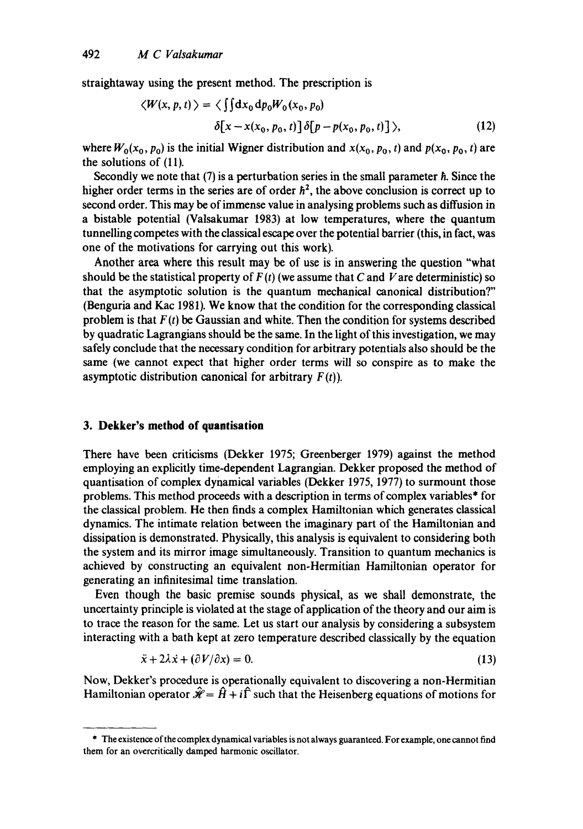straightaway using the present method. The prescription is

$$
\langle W(x, p, t) \rangle = \langle \iint dx_0 dp_0 W_0(x_0, p_0)
$$

$$
\delta[x - x(x_0, p_0, t)] \delta[p - p(x_0, p_0, t)] \rangle, \qquad (12)
$$

where  $W_0(x_0, p_0)$  is the initial Wigner distribution and  $x(x_0, p_0, t)$  and  $p(x_0, p_0, t)$  are the solutions of (11).

Secondly we note that  $(7)$  is a perturbation series in the small parameter  $\hbar$ . Since the higher order terms in the series are of order  $\hbar^2$ , the above conclusion is correct up to second order. This may be of immense value in analysing problems such as diffusion in a bistable potential (Valsakumar 1983) at low temperatures, where the quantum tunnelling competes with the classical escape over the potential barrier (this, in fact, was one of the motivations for carrying out this work).

Another area where this result may be of use is in answering the question "what should be the statistical property of  $F(t)$  (we assume that C and V are deterministic) so that the asymptotic solution is the quantum mechanical canonical distribution?" (Benguria and Kac 1981). We know that the condition for the corresponding classical problem is that  $F(t)$  be Gaussian and white. Then the condition for systems described by quadratic Lagrangians should be the same. In the light of this investigation, we may safely conclude that the necessary condition for arbitrary potentials also should be the same (we cannot expect that higher order terms will so conspire as to make the asymptotic distribution canonical for arbitrary  $F(t)$ ).

### **3. Dekker's method of quantisation**

There have been criticisms (Dekker 1975; Greenberger 1979) against the method employing an explicitly time-dependent Lagrangian. Dekker proposed the method of quantisation of complex dynamical variables (Dekker 1975, 1977) to surmount those problems. This method proceeds with a description in terms of complex variables\* for the classical problem. He then finds a complex Hamiltonian which generates classical dynamics. The intimate relation between the imaginary part of the Hamiltonian and dissipation is demonstrated. Physically, this analysis is equivalent to considering both the system and its mirror image simultaneously. Transition to quantum mechanics is achieved by constructing an equivalent non-Hermitian Hamiltonian operator for generating an infinitesimal time translation.

Even though the basic premise sounds physical, as we shall demonstrate, the uncertainty principle is violated at the stage of application of the theory and our aim is to trace the reason for the same. Let us start our analysis by considering a subsystem interacting with a bath kept at zero temperature described classically by the equation

$$
\ddot{x} + 2\lambda \dot{x} + (\partial V/\partial x) = 0. \tag{13}
$$

Now, Dekker's procedure is operationally equivalent to discovering a non-Hermitian Hamiltonian operator  $\hat{\mathcal{H}} = \hat{H} + i\hat{\Gamma}$  such that the Heisenberg equations of motions for

<sup>\*</sup> The existence of the complex dynamical variables is not always guaranteed. For example, one cannot find them for an overcritically damped harmonic oscillator.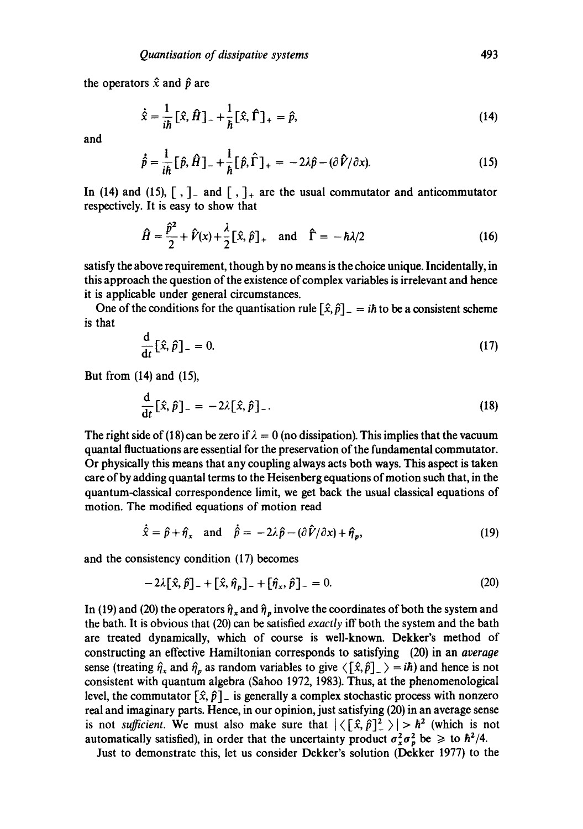the operators  $\hat{x}$  and  $\hat{p}$  are

$$
\dot{\hat{x}} = \frac{1}{i\hbar} [\hat{x}, \hat{H}]_{-} + \frac{1}{\hbar} [\hat{x}, \hat{\Gamma}]_{+} = \hat{p}, \qquad (14)
$$

and

$$
\hat{\rho} = \frac{1}{i\hbar} \left[ \hat{p}, \hat{H} \right]_- + \frac{1}{\hbar} \left[ \hat{p}, \hat{\Gamma} \right]_+ = -2\lambda \hat{p} - (\partial \hat{V}/\partial x). \tag{15}
$$

In (14) and (15),  $\lceil$ ,  $\rceil$  and  $\lceil$ ,  $\rceil$  are the usual commutator and anticommutator respectively. It is easy to show that

$$
\hat{H} = \frac{\hat{p}^2}{2} + \hat{V}(x) + \frac{\lambda}{2} [\hat{x}, \hat{p}]_+ \text{ and } \hat{\Gamma} = -\hbar \lambda/2
$$
 (16)

satisfy the above requirement, though by no means is the choice unique. Incidentally, in this approach the question of the existence of complex variables is irrelevant and hence it is applicable under general circumstances.

One of the conditions for the quantisation rule  $[\hat{x}, \hat{p}]_-=i\hbar$  to be a consistent scheme is that

$$
\frac{\mathrm{d}}{\mathrm{d}t} \left[ \hat{x}, \hat{p} \right]_{-} = 0. \tag{17}
$$

But from (14) and (15),

$$
\frac{\mathrm{d}}{\mathrm{d}t} \left[ \hat{x}, \hat{p} \right]_{-} = -2\lambda [\hat{x}, \hat{p}]_{-}.\tag{18}
$$

The right side of (18) can be zero if  $\lambda = 0$  (no dissipation). This implies that the vacuum quantal fluctuations are essential for the preservation of the fundamental commutator. Or physically this means that any coupling always acts both ways. This aspect is taken care of by adding quantal terms to the Heisenberg equations of motion such that, in the quantum-classical correspondence limit, we get back the usual classical equations of motion. The modified equations of motion read

$$
\dot{\hat{x}} = \hat{p} + \hat{\eta}_x \quad \text{and} \quad \dot{\hat{p}} = -2\lambda \hat{p} - (\partial \hat{V}/\partial x) + \hat{\eta}_p, \tag{19}
$$

and the consistency condition (17) becomes

$$
-2\lambda[\hat{x}, \hat{p}]_{-} + [\hat{x}, \hat{\eta}_p]_{-} + [\hat{\eta}_x, \hat{p}]_{-} = 0.
$$
 (20)

In (19) and (20) the operators  $\hat{\eta}_x$  and  $\hat{\eta}_p$  involve the coordinates of both the system and the bath. It is obvious that (20) can be satisfied *exactly* iff both the system and the bath are treated dynamically, which of course is well-known. Dekker's method of constructing an effective Hamiltonian corresponds to satisfying (20) in an *average*  sense (treating  $\hat{\eta}_x$  and  $\hat{\eta}_p$  as random variables to give  $\langle [\hat{x}, \hat{p}]_- \rangle = i\hbar$ ) and hence is not consistent with quantum algebra (Sahoo 1972, 1983). Thus, at the phenomenological level, the commutator  $[\hat{x}, \hat{p}]$  is generally a complex stochastic process with nonzero real and imaginary parts. Hence, in our opinion, just satisfying (20) in an average sense is not *sufficient*. We must also make sure that  $|\langle [\hat{x}, \hat{p}]^2 \rangle| > h^2$  (which is not automatically satisfied), in order that the uncertainty product  $\sigma_x^2 \sigma_n^2$  be  $\geq$  to  $\hbar^2/4$ .

Just to demonstrate this, let us consider Dekker's solution (Dekker 1977) to the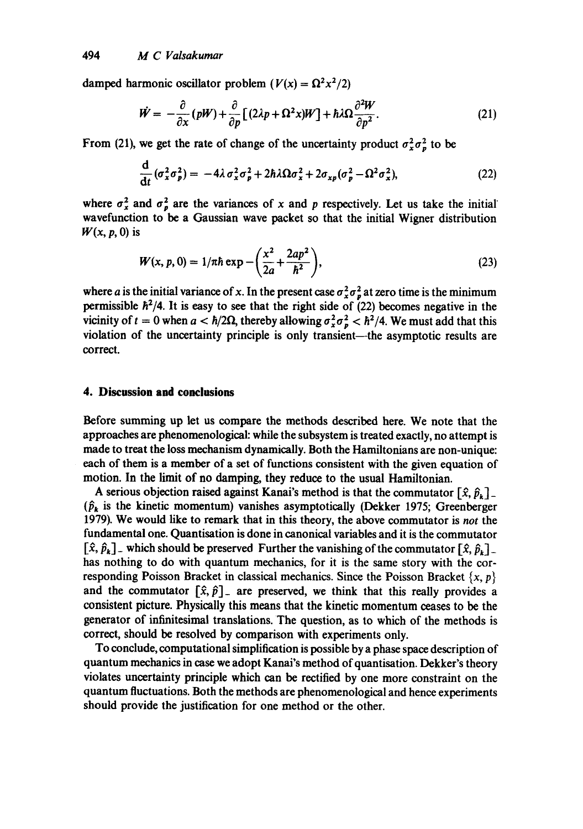damped harmonic oscillator problem  $(V(x) = \Omega^2 x^2/2)$ 

$$
\dot{W} = -\frac{\partial}{\partial x}(pW) + \frac{\partial}{\partial p}[(2\lambda p + \Omega^2 x)W] + \hbar\lambda\Omega\frac{\partial^2 W}{\partial p^2}.
$$
 (21)

From (21), we get the rate of change of the uncertainty product  $\sigma_x^2 \sigma_p^2$  to be

$$
\frac{\mathrm{d}}{\mathrm{d}t} \left( \sigma_x^2 \sigma_p^2 \right) = -4\lambda \sigma_x^2 \sigma_p^2 + 2\hbar \lambda \Omega \sigma_x^2 + 2\sigma_{xp} (\sigma_p^2 - \Omega^2 \sigma_x^2), \tag{22}
$$

where  $\sigma_x^2$  and  $\sigma_p^2$  are the variances of x and p respectively. Let us take the initial wavefunction to be a Gaussian wave packet so that the initial Wigner distribution *W(x, p, O)* is

$$
W(x, p, 0) = 1/\pi \hbar \exp \left(-\frac{x^2}{2a} + \frac{2ap^2}{\hbar^2}\right),\tag{23}
$$

where a is the initial variance of x. In the present case  $\sigma_x^2 \sigma_p^2$  at zero time is the minimum permissible  $h^2/4$ . It is easy to see that the right side of (22) becomes negative in the vicinity of  $t = 0$  when  $a < \hbar/2\Omega$ , thereby allowing  $\sigma_x^2 \sigma_p^2 < \hbar^2/4$ . We must add that this violation of the uncertainty principle is only transient-the asymptotic results are correct.

#### **4. Discussion and conclusions**

Before summing up let us compare the methods described here. We note that the approaches are phenomenological: while the subsystem is treated exactly, no attempt is made to treat the loss mechanism dynamically. Both the Hamiltonians are non-unique: each of them is a member of a set of functions consistent with the given equation of motion. In the limit of no damping, they reduce to the usual Hamiltonian.

A serious objection raised against Kanai's method is that the commutator  $[\hat{x}, \hat{p}_k]$ .  $(\hat{p}_k)$  is the kinetic momentum) vanishes asymptotically (Dekker 1975; Greenberger 1979). We would like to remark that in this theory, the above commutator is *not* the fundamental one. Quantisation is done in canonical variables and it is the commutator  $[\hat{x}, \hat{p}_k]$  which should be preserved Further the vanishing of the commutator  $[\hat{x}, \hat{p}_k]$ . has nothing to do with quantum mechanics, for it is the same story with the corresponding Poisson Bracket in classical mechanics. Since the Poisson Bracket  $\{x, p\}$ and the commutator  $[\hat{x}, \hat{p}]$  are preserved, we think that this really provides a consistent picture. Physically this means that the kinetic momentum ceases to be the generator of infinitesimal translations. The question, as to which of the methods is correct, should be resolved by comparison with experiments only.

To conclude, computational simplification is possible by a phase space description of quantum mechanics in case we adopt Kanai's method of quantisation. Dekker's theory violates uncertainty principle which can be rectified by one more constraint on the quantum fluctuations. Both the methods are phenomenological and hence experiments should provide the justification for one method or the other.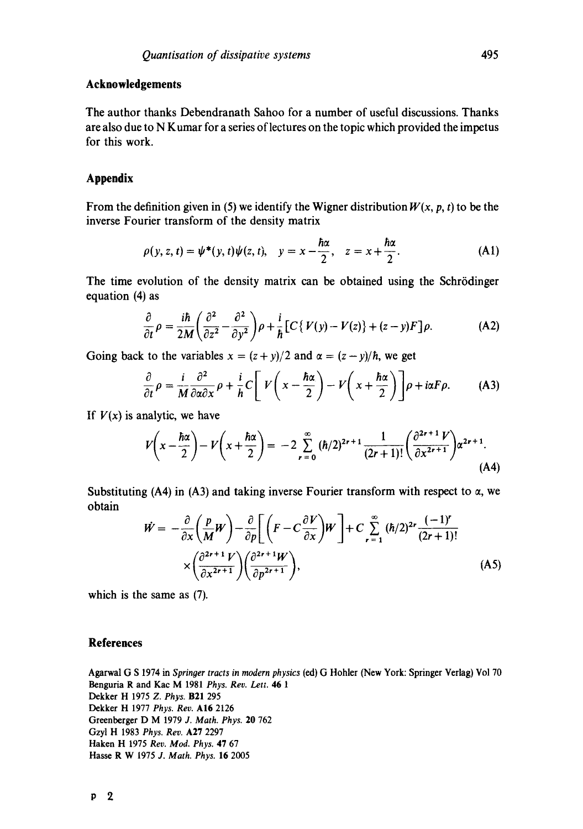# **Acknowledgements**

The author thanks Debendranath Sahoo for a number of useful discussions. Thanks are also due to N Kumar for a series of lectures on the topic which provided the impetus for this work.

# **Appendix**

From the definition given in (5) we identify the Wigner distribution  $W(x, p, t)$  to be the inverse Fourier transform of the density matrix

$$
\rho(y, z, t) = \psi^*(y, t)\psi(z, t), \quad y = x - \frac{\hbar\alpha}{2}, \quad z = x + \frac{\hbar\alpha}{2}.
$$
 (A1)

The time evolution of the density matrix can be obtained using the Schrödinger equation (4) as

$$
\frac{\partial}{\partial t}\rho = \frac{i\hbar}{2M}\left(\frac{\partial^2}{\partial z^2} - \frac{\partial^2}{\partial y^2}\right)\rho + \frac{i}{\hbar}\left[C\left\{V(y) - V(z)\right\} + (z-y)F\right]\rho.
$$
 (A2)

Going back to the variables  $x = (z + y)/2$  and  $\alpha = (z - y)/\hbar$ , we get

$$
\frac{\partial}{\partial t}\rho = \frac{i}{M}\frac{\partial^2}{\partial \alpha \partial x}\rho + \frac{i}{h}C\left[V\left(x - \frac{\hbar \alpha}{2}\right) - V\left(x + \frac{\hbar \alpha}{2}\right)\right]\rho + i\alpha F\rho. \tag{A3}
$$

If  $V(x)$  is analytic, we have

$$
V\left(x-\frac{\hbar\alpha}{2}\right)-V\left(x+\frac{\hbar\alpha}{2}\right)=-2\sum_{r=0}^{\infty}\left(\frac{\hbar}{2}\right)^{2r+1}\frac{1}{(2r+1)!}\left(\frac{\partial^{2r+1}V}{\partial x^{2r+1}}\right)\alpha^{2r+1}.\tag{A4}
$$

Substituting (A4) in (A3) and taking inverse Fourier transform with respect to  $\alpha$ , we obtain

$$
\dot{W} = -\frac{\partial}{\partial x} \left( \frac{p}{M} W \right) - \frac{\partial}{\partial p} \left[ \left( F - C \frac{\partial V}{\partial x} \right) W \right] + C \sum_{r=1}^{\infty} (\hbar/2)^{2r} \frac{(-1)^r}{(2r+1)!} \times \left( \frac{\partial^{2r+1} V}{\partial x^{2r+1}} \right) \left( \frac{\partial^{2r+1} W}{\partial p^{2r+1}} \right),
$$
\n(A5)

which is the same as (7).

## **References**

Agarwal G S 1974 in *Springer tracts in modern physics* (ed) G Hohler (New York: Springer Verlag) Vol 70 Benguria R and Kac M 1981 *Phys. Rev. Lett.* 46 1 Dekker H 1975 *Z. Phys.* B21 295 Dekker H 1977 *Phys. Rev.* A16 2126 Greenberger D M 1979 *J. Math. Phys.* 20 762 Gzyl H 1983 *Phys. Rev.* A27 2297 Haken H 1975 *Rev. Mod. Phys.* 47 67 **Hasse** R W 1975 *J. Math. Phys.* 16 2005